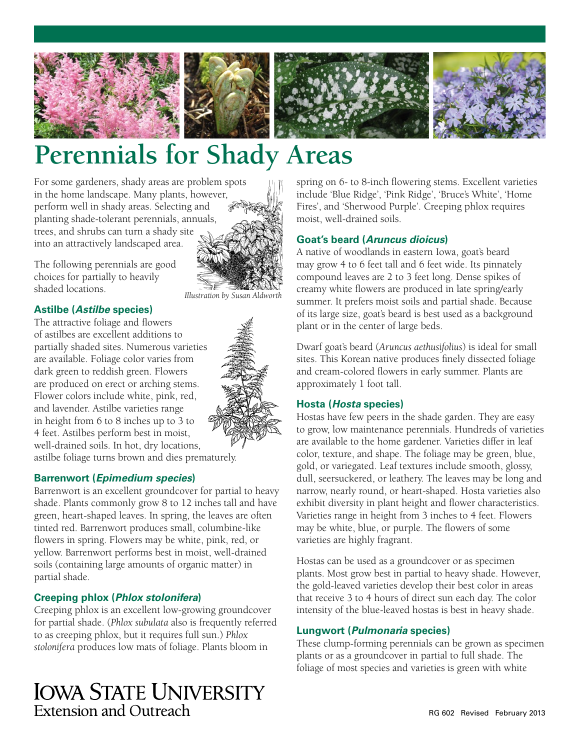



# **Perennials for Shady Areas**

For some gardeners, shady areas are problem spots in the home landscape. Many plants, however, perform well in shady areas. Selecting and planting shade-tolerant perennials, annuals, trees, and shrubs can turn a shady site into an attractively landscaped area.



The following perennials are good choices for partially to heavily shaded locations.

#### **Astilbe (***Astilbe* **species)**

The attractive foliage and flowers of astilbes are excellent additions to partially shaded sites. Numerous varieties are available. Foliage color varies from dark green to reddish green. Flowers are produced on erect or arching stems. Flower colors include white, pink, red, and lavender. Astilbe varieties range in height from 6 to 8 inches up to 3 to 4 feet. Astilbes perform best in moist, well-drained soils. In hot, dry locations, astilbe foliage turns brown and dies prematurely.

#### **Barrenwort (***Epimedium species***)**

Barrenwort is an excellent groundcover for partial to heavy shade. Plants commonly grow 8 to 12 inches tall and have green, heart-shaped leaves. In spring, the leaves are often tinted red. Barrenwort produces small, columbine-like flowers in spring. Flowers may be white, pink, red, or yellow. Barrenwort performs best in moist, well-drained soils (containing large amounts of organic matter) in partial shade.

#### **Creeping phlox (***Phlox stolonifera***)**

Creeping phlox is an excellent low-growing groundcover for partial shade. (*Phlox subulata* also is frequently referred to as creeping phlox, but it requires full sun.) *Phlox stolonifera* produces low mats of foliage. Plants bloom in

# **IOWA STATE UNIVERSITY** Extension and Outreach

spring on 6- to 8-inch flowering stems. Excellent varieties include 'Blue Ridge', 'Pink Ridge', 'Bruce's White', 'Home Fires', and 'Sherwood Purple'. Creeping phlox requires moist, well-drained soils.

# **Goat's beard (***Aruncus dioicus***)**

A native of woodlands in eastern Iowa, goat's beard may grow 4 to 6 feet tall and 6 feet wide. Its pinnately compound leaves are 2 to 3 feet long. Dense spikes of creamy white flowers are produced in late spring/early summer. It prefers moist soils and partial shade. Because of its large size, goat's beard is best used as a background plant or in the center of large beds.

Dwarf goat's beard (*Aruncus aethusifolius*) is ideal for small sites. This Korean native produces finely dissected foliage and cream-colored flowers in early summer. Plants are approximately 1 foot tall.

# **Hosta (***Hosta* **species)**

Hostas have few peers in the shade garden. They are easy to grow, low maintenance perennials. Hundreds of varieties are available to the home gardener. Varieties differ in leaf color, texture, and shape. The foliage may be green, blue, gold, or variegated. Leaf textures include smooth, glossy, dull, seersuckered, or leathery. The leaves may be long and narrow, nearly round, or heart-shaped. Hosta varieties also exhibit diversity in plant height and flower characteristics. Varieties range in height from 3 inches to 4 feet. Flowers may be white, blue, or purple. The flowers of some varieties are highly fragrant.

Hostas can be used as a groundcover or as specimen plants. Most grow best in partial to heavy shade. However, the gold-leaved varieties develop their best color in areas that receive 3 to 4 hours of direct sun each day. The color intensity of the blue-leaved hostas is best in heavy shade.

#### **Lungwort (***Pulmonaria* **species)**

These clump-forming perennials can be grown as specimen plants or as a groundcover in partial to full shade. The foliage of most species and varieties is green with white